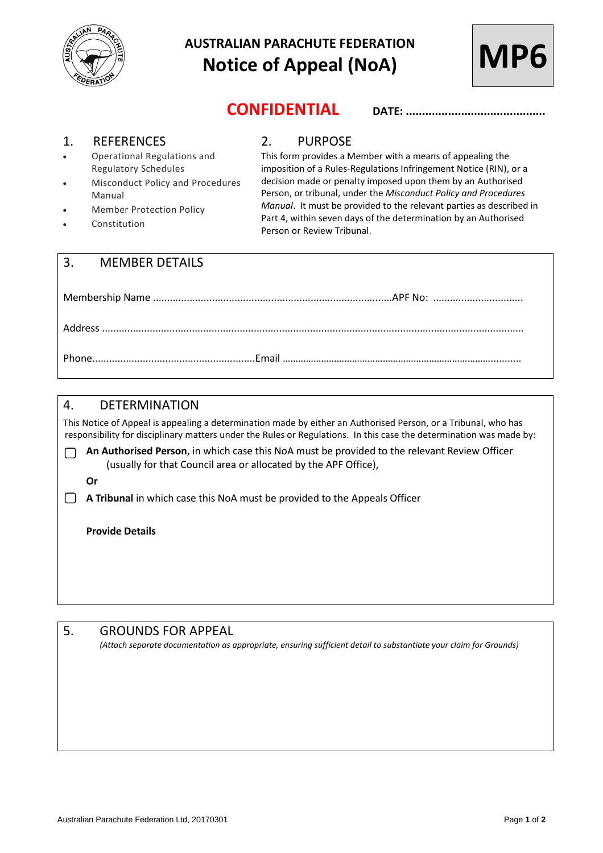

# **AUSTRALIAN PARACHUTE FEDERATION Notice of Appeal (NoA)**



**CONFIDENTIAL DATE: ...........................................**

#### 1. REFERENCES

- Operational Regulations and Regulatory Schedules
- Misconduct Policy and Procedures Manual
- Member Protection Policy
- Constitution

### 2. PURPOSE

This form provides a Member with a means of appealing the imposition of a Rules-Regulations Infringement Notice (RIN), or a decision made or penalty imposed upon them by an Authorised Person, or tribunal, under the *Misconduct Policy and Procedures Manual*. It must be provided to the relevant parties as described in Part 4, within seven days of the determination by an Authorised Person or Review Tribunal.

| 3. MEMBER DETAILS |  |
|-------------------|--|
|                   |  |
|                   |  |

Phone..........................................................Email ………………………………………………………………………...........

## 4. DETERMINATION

This Notice of Appeal is appealing a determination made by either an Authorised Person, or a Tribunal, who has responsibility for disciplinary matters under the Rules or Regulations. In this case the determination was made by:

- **An Authorised Person**, in which case this NoA must be provided to the relevant Review Officer ∩ (usually for that Council area or allocated by the APF Office),
	- **Or**

**A Tribunal** in which case this NoA must be provided to the Appeals Officer

**Provide Details** 

#### 5. GROUNDS FOR APPEAL

*(Attach separate documentation as appropriate, ensuring sufficient detail to substantiate your claim for Grounds)*